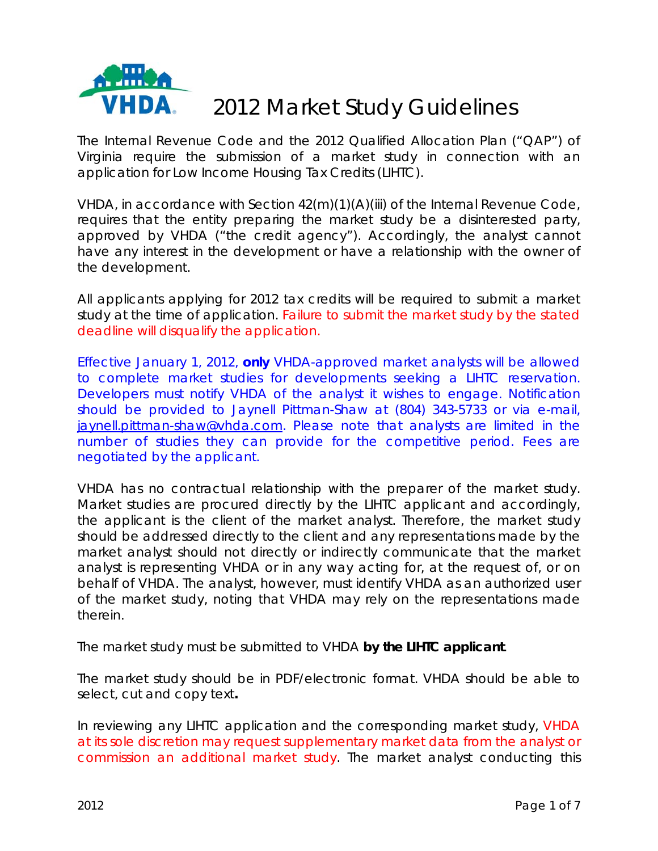

# 2012 Market Study Guidelines

The Internal Revenue Code and the 2012 Qualified Allocation Plan ("QAP") of Virginia require the submission of a market study in connection with an application for Low Income Housing Tax Credits (LIHTC).

VHDA, in accordance with Section 42(m)(1)(A)(iii) of the Internal Revenue Code, requires that the entity preparing the market study be a disinterested party, approved by VHDA ("the credit agency"). Accordingly, the analyst cannot have any interest in the development or have a relationship with the owner of the development.

All applicants applying for 2012 tax credits will be required to submit a market study at the time of application. Failure to submit the market study by the stated deadline will disqualify the application.

Effective January 1, 2012, **only** VHDA-approved market analysts will be allowed to complete market studies for developments seeking a LIHTC reservation. Developers must notify VHDA of the analyst it wishes to engage. Notification should be provided to Jaynell Pittman-Shaw at (804) 343-5733 or via e-mail, [jaynell.pittman-shaw@vhda.com.](mailto:jaynell.pittman-shaw@vhda.com) Please note that analysts are limited in the number of studies they can provide for the competitive period. Fees are negotiated by the applicant.

VHDA has no contractual relationship with the preparer of the market study. Market studies are procured directly by the LIHTC applicant and accordingly, the applicant is the client of the market analyst. Therefore, the market study should be addressed directly to the client and any representations made by the market analyst should not directly or indirectly communicate that the market analyst is representing VHDA or in any way acting for, at the request of, or on behalf of VHDA. The analyst, however, must identify VHDA as an authorized user of the market study, noting that VHDA may rely on the representations made therein.

The market study must be submitted to VHDA **by the LIHTC applicant**.

The market study should be in PDF/electronic format. VHDA should be able to select, cut and copy text**.** 

In reviewing any LIHTC application and the corresponding market study, VHDA at its sole discretion may request supplementary market data from the analyst or commission an additional market study. The market analyst conducting this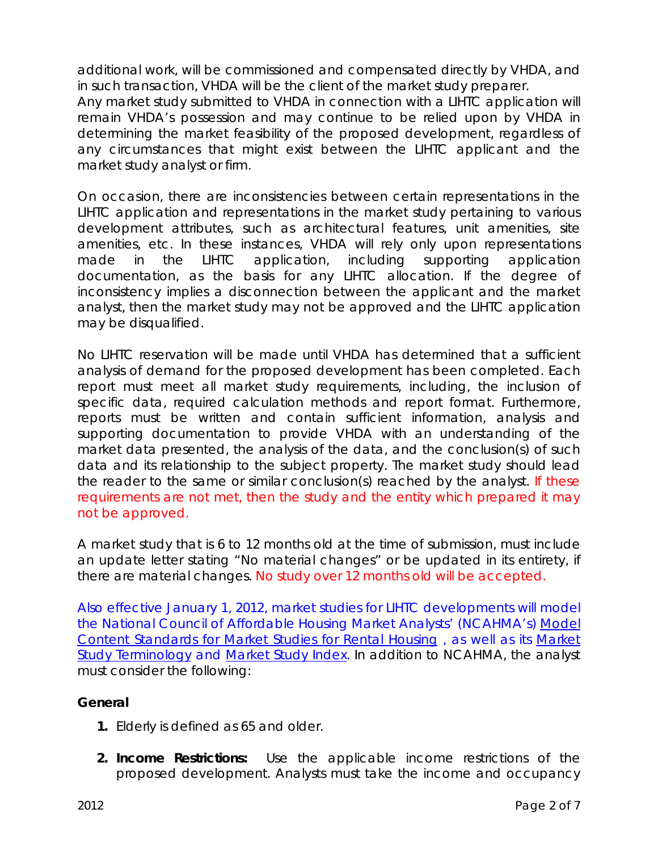additional work, will be commissioned and compensated directly by VHDA, and in such transaction, VHDA will be the client of the market study preparer.

Any market study submitted to VHDA in connection with a LIHTC application will remain VHDA's possession and may continue to be relied upon by VHDA in determining the market feasibility of the proposed development, regardless of any circumstances that might exist between the LIHTC applicant and the market study analyst or firm.

On occasion, there are inconsistencies between certain representations in the LIHTC application and representations in the market study pertaining to various development attributes, such as architectural features, unit amenities, site amenities, etc. In these instances, VHDA will rely only upon representations made in the LIHTC application, including supporting application documentation, as the basis for any LIHTC allocation. If the degree of inconsistency implies a disconnection between the applicant and the market analyst, then the market study may not be approved and the LIHTC application may be disqualified.

No LIHTC reservation will be made until VHDA has determined that a sufficient analysis of demand for the proposed development has been completed. Each report must meet all market study requirements, including, the inclusion of specific data, required calculation methods and report format. Furthermore, reports must be written and contain sufficient information, analysis and supporting documentation to provide VHDA with an understanding of the market data presented, the analysis of the data, and the conclusion(s) of such data and its relationship to the subject property. The market study should lead the reader to the same or similar conclusion(s) reached by the analyst. If these requirements are not met, then the study and the entity which prepared it may not be approved.

A market study that is 6 to 12 months old at the time of submission, must include an update letter stating "No material changes" or be updated in its entirety, if there are material changes. No study over 12 months old will be accepted.

Also effective January 1, 2012, market studies for LIHTC developments will model the National Council of Affordable Housing Market Analysts' (NCAHMA's) [Model](http://www.housingonline.com/Documents/Model%20Content%20Standards%20%28Dec%202007%20Final%29.pdf)  [Content Standards for Market Studies for Rental Housing](http://www.housingonline.com/Documents/Model%20Content%20Standards%20%28Dec%202007%20Final%29.pdf) , as well as its [Market](http://www.housingonline.com/Documents/Market%20Study%20Terminology%2012022010.pdf)  [Study Terminology](http://www.housingonline.com/Documents/Market%20Study%20Terminology%2012022010.pdf) and [Market Study Index](http://www.housingonline.com/Documents/NCAHMA%20Market%20Study%20Index%2009202010%20%28Updated%29.pdf). In addition to NCAHMA, the analyst must consider the following:

## **General**

- **1.** Elderly is defined as 65 and older.
- **2. Income Restrictions:** Use the applicable income restrictions of the proposed development. Analysts must take the income and occupancy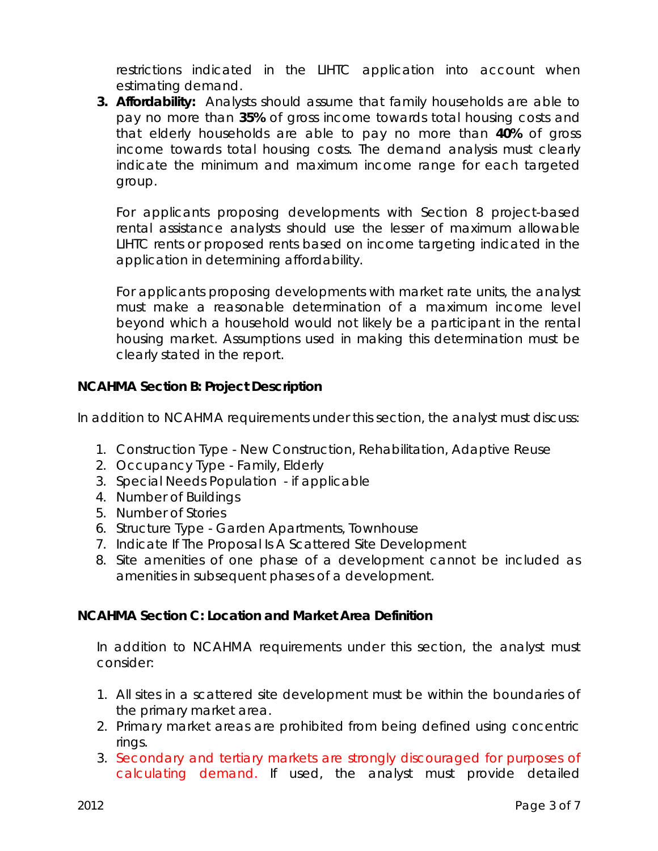restrictions indicated in the LIHTC application into account when estimating demand.

**3. Affordability:** Analysts should assume that family households are able to pay no more than **35%** of gross income towards total housing costs and that elderly households are able to pay no more than **40%** of gross income towards total housing costs. The demand analysis must clearly indicate the minimum and maximum income range for each targeted group.

For applicants proposing developments with Section 8 project-based rental assistance analysts should use the lesser of maximum allowable LIHTC rents or proposed rents based on income targeting indicated in the application in determining affordability.

For applicants proposing developments with market rate units, the analyst must make a reasonable determination of a maximum income level beyond which a household would not likely be a participant in the rental housing market. Assumptions used in making this determination must be clearly stated in the report.

## **NCAHMA Section B: Project Description**

In addition to NCAHMA requirements under this section, the analyst must discuss:

- 1. Construction Type New Construction, Rehabilitation, Adaptive Reuse
- 2. Occupancy Type Family, Elderly
- 3. Special Needs Population if applicable
- 4. Number of Buildings
- 5. Number of Stories
- 6. Structure Type Garden Apartments, Townhouse
- 7. Indicate If The Proposal Is A Scattered Site Development
- 8. Site amenities of one phase of a development cannot be included as amenities in subsequent phases of a development.

#### **NCAHMA Section C: Location and Market Area Definition**

In addition to NCAHMA requirements under this section, the analyst must consider:

- 1. All sites in a scattered site development must be within the boundaries of the primary market area.
- 2. Primary market areas are prohibited from being defined using concentric rings.
- 3. Secondary and tertiary markets are strongly discouraged for purposes of calculating demand. If used, the analyst must provide detailed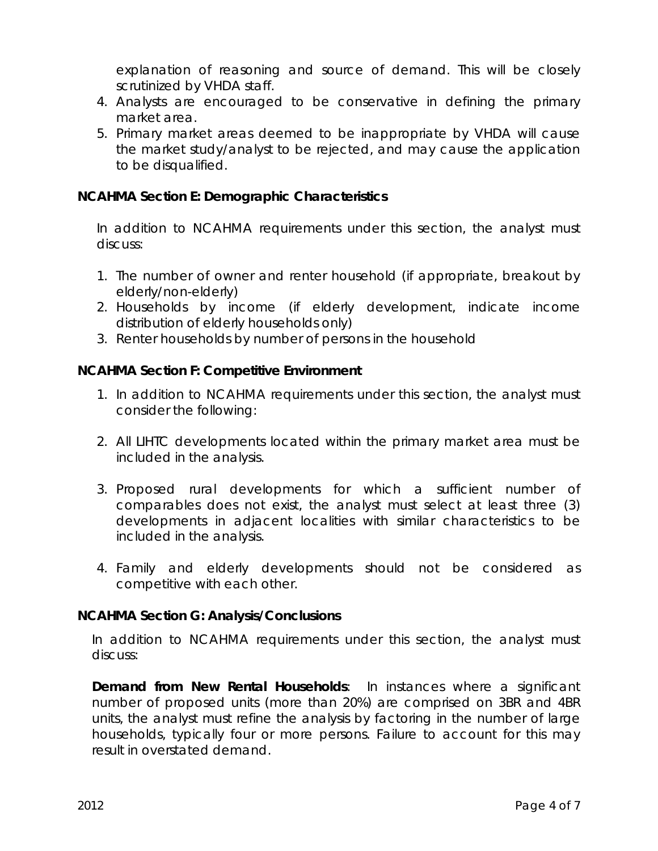explanation of reasoning and source of demand. This will be closely scrutinized by VHDA staff.

- 4. Analysts are encouraged to be conservative in defining the primary market area.
- 5. Primary market areas deemed to be inappropriate by VHDA will cause the market study/analyst to be rejected, and may cause the application to be disqualified.

### **NCAHMA Section E: Demographic Characteristics**

In addition to NCAHMA requirements under this section, the analyst must discuss:

- 1. The number of owner and renter household (if appropriate, breakout by elderly/non-elderly)
- 2. Households by income (if elderly development, indicate income distribution of elderly households only)
- 3. Renter households by number of persons in the household

## **NCAHMA Section F: Competitive Environment**

- 1. In addition to NCAHMA requirements under this section, the analyst must consider the following:
- 2. All LIHTC developments located within the primary market area must be included in the analysis.
- 3. Proposed rural developments for which a sufficient number of comparables does not exist, the analyst must select at least three (3) developments in adjacent localities with similar characteristics to be included in the analysis.
- 4. Family and elderly developments should not be considered as competitive with each other.

## **NCAHMA Section G: Analysis/Conclusions**

In addition to NCAHMA requirements under this section, the analyst must discuss:

**Demand from New Rental Households**: In instances where a significant number of proposed units (more than 20%) are comprised on 3BR and 4BR units, the analyst must refine the analysis by factoring in the number of large households, typically four or more persons. Failure to account for this may result in overstated demand.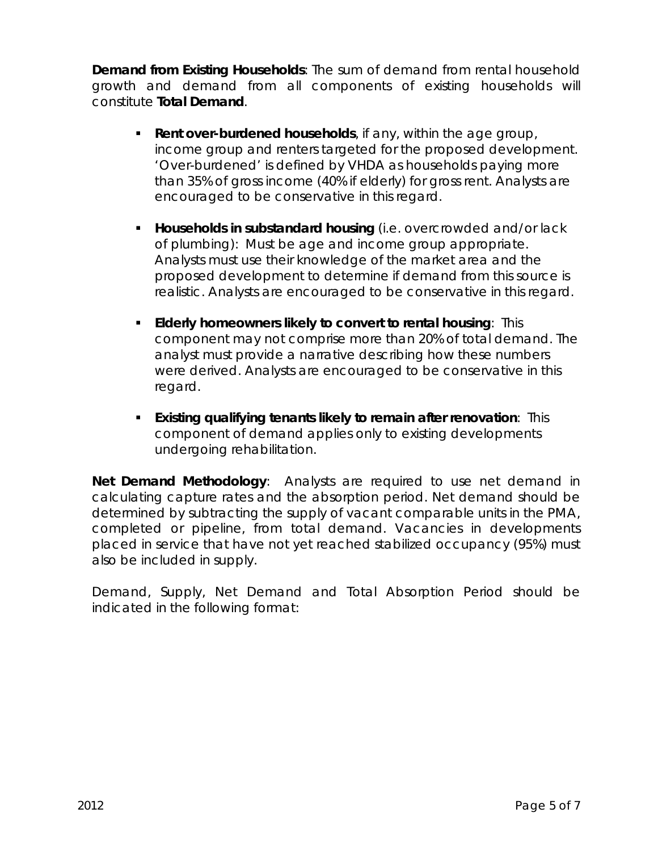**Demand from Existing Households**: The sum of demand from rental household growth and demand from all components of existing households will constitute **Total Demand**.

- **Rent over-burdened households**, if any, within the age group, income group and renters targeted for the proposed development. 'Over-burdened' is defined by VHDA as households paying more than 35% of gross income (40% if elderly) for gross rent. Analysts are encouraged to be conservative in this regard.
- **Households in substandard housing** (i.e. overcrowded and/or lack of plumbing): Must be age and income group appropriate. Analysts must use their knowledge of the market area and the proposed development to determine if demand from this source is realistic. Analysts are encouraged to be conservative in this regard.
- **Elderly homeowners likely to convert to rental housing**: This component may not comprise more than 20% of total demand. The analyst must provide a narrative describing how these numbers were derived. Analysts are encouraged to be conservative in this regard.
- **Existing qualifying tenants likely to remain after renovation**: This component of demand applies only to existing developments undergoing rehabilitation.

**Net Demand Methodology**: Analysts are required to use net demand in calculating capture rates and the absorption period. Net demand should be determined by subtracting the supply of vacant comparable units in the PMA, completed or pipeline, from total demand. Vacancies in developments placed in service that have not yet reached stabilized occupancy (95%) must also be included in supply.

Demand, Supply, Net Demand and Total Absorption Period should be indicated in the following format: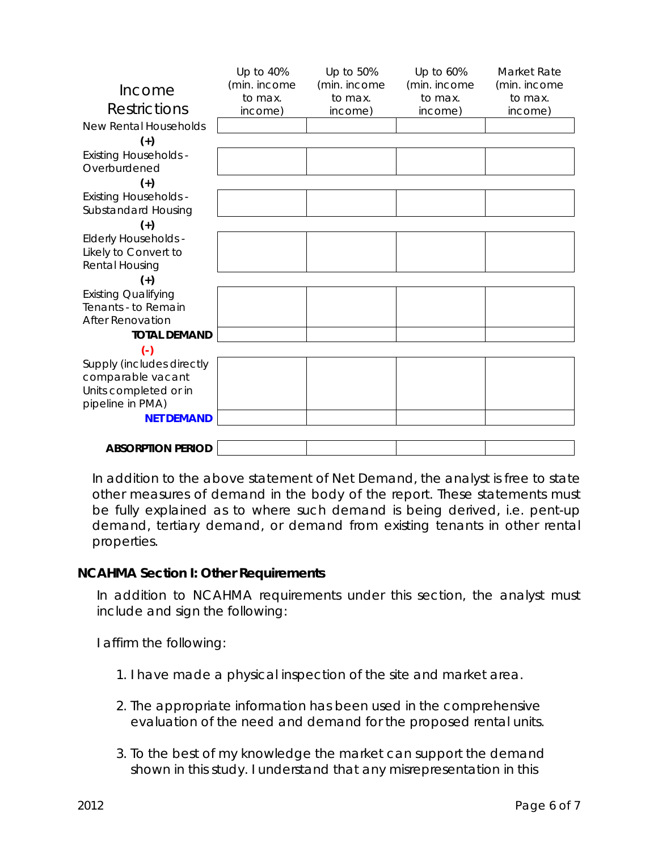|                              | Up to 40%    | Up to 50%    | Up to 60%    | Market Rate  |
|------------------------------|--------------|--------------|--------------|--------------|
| Income                       | (min. income | (min. income | (min. income | (min. income |
| Restrictions                 | to max.      | to max.      | to max.      | to max.      |
|                              | income)      | income)      | income)      | income)      |
| <b>New Rental Households</b> |              |              |              |              |
| $(+)$                        |              |              |              |              |
| <b>Existing Households -</b> |              |              |              |              |
| Overburdened                 |              |              |              |              |
| $(+)$                        |              |              |              |              |
| <b>Existing Households -</b> |              |              |              |              |
| Substandard Housing          |              |              |              |              |
| $(+)$                        |              |              |              |              |
| <b>Elderly Households -</b>  |              |              |              |              |
| Likely to Convert to         |              |              |              |              |
| Rental Housing               |              |              |              |              |
| $(+)$                        |              |              |              |              |
| <b>Existing Qualifying</b>   |              |              |              |              |
| Tenants - to Remain          |              |              |              |              |
| <b>After Renovation</b>      |              |              |              |              |
| <b>TOTAL DEMAND</b>          |              |              |              |              |
| $\left( -\right)$            |              |              |              |              |
| Supply (includes directly    |              |              |              |              |
| comparable vacant            |              |              |              |              |
| Units completed or in        |              |              |              |              |
| pipeline in PMA)             |              |              |              |              |
| <b>NET DEMAND</b>            |              |              |              |              |
|                              |              |              |              |              |
| <b>ABSORPTION PERIOD</b>     |              |              |              |              |

In addition to the above statement of Net Demand, the analyst is free to state other measures of demand in the body of the report. These statements must be fully explained as to where such demand is being derived, i.e. pent-up demand, tertiary demand, or demand from existing tenants in other rental properties.

## **NCAHMA Section I: Other Requirements**

In addition to NCAHMA requirements under this section, the analyst must include and sign the following:

I affirm the following:

- 1. I have made a physical inspection of the site and market area.
- 2. The appropriate information has been used in the comprehensive evaluation of the need and demand for the proposed rental units.
- 3. To the best of my knowledge the market can support the demand shown in this study. I understand that any misrepresentation in this